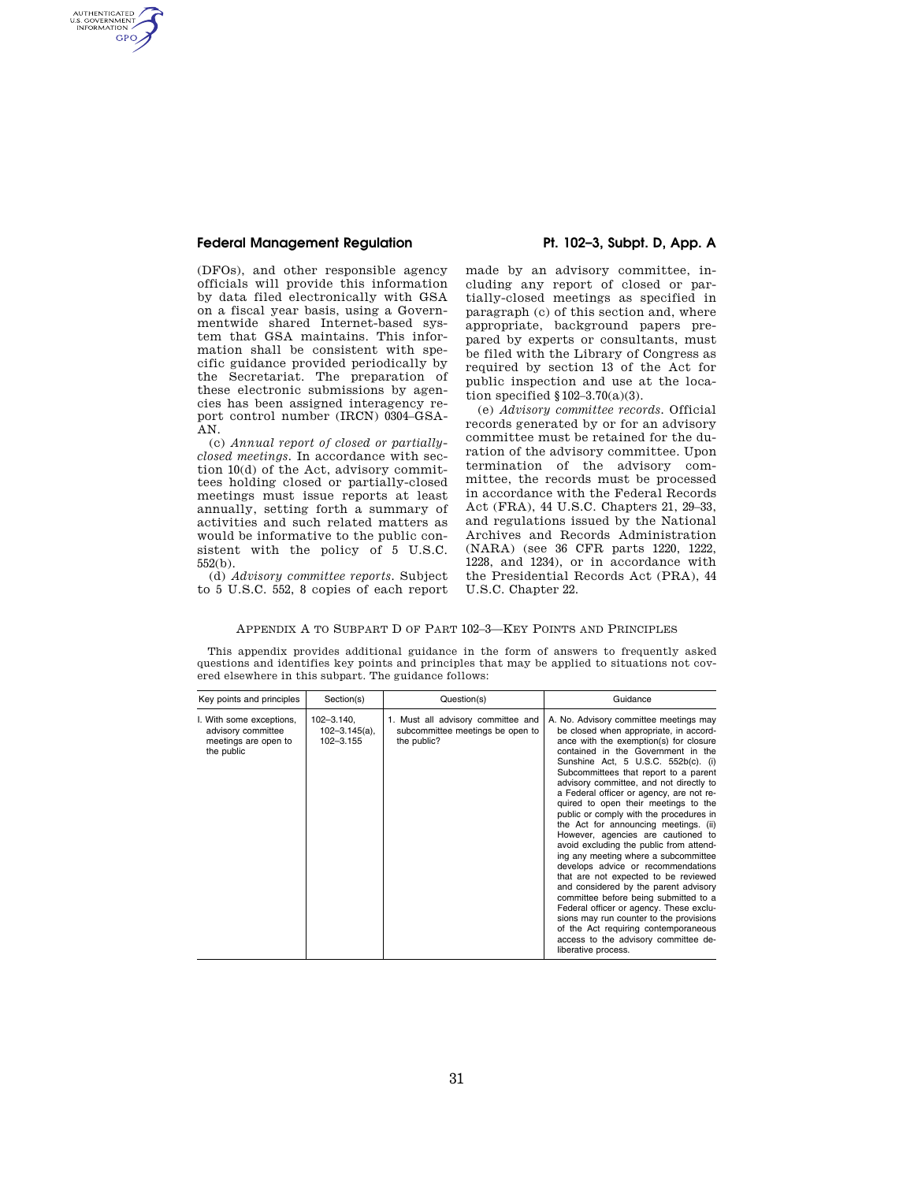### **Federal Management Regulation Pt. 102–3, Subpt. D, App. A**

AUTHENTICATED<br>U.S. GOVERNMENT<br>INFORMATION **GPO** 

> (DFOs), and other responsible agency officials will provide this information by data filed electronically with GSA on a fiscal year basis, using a Governmentwide shared Internet-based system that GSA maintains. This information shall be consistent with specific guidance provided periodically by the Secretariat. The preparation of these electronic submissions by agencies has been assigned interagency report control number (IRCN) 0304–GSA-AN.

> (c) *Annual report of closed or partiallyclosed meetings.* In accordance with section 10(d) of the Act, advisory committees holding closed or partially-closed meetings must issue reports at least annually, setting forth a summary of activities and such related matters as would be informative to the public consistent with the policy of 5 U.S.C. 552(b).

> (d) *Advisory committee reports.* Subject to 5 U.S.C. 552, 8 copies of each report

made by an advisory committee, including any report of closed or partially-closed meetings as specified in paragraph (c) of this section and, where appropriate, background papers prepared by experts or consultants, must be filed with the Library of Congress as required by section 13 of the Act for public inspection and use at the location specified  $$102-3.70(a)(3)$ .

(e) *Advisory committee records.* Official records generated by or for an advisory committee must be retained for the duration of the advisory committee. Upon termination of the advisory committee, the records must be processed in accordance with the Federal Records Act (FRA), 44 U.S.C. Chapters 21, 29–33, and regulations issued by the National Archives and Records Administration (NARA) (see 36 CFR parts 1220, 1222, 1228, and 1234), or in accordance with the Presidential Records Act (PRA), 44 U.S.C. Chapter 22.

### APPENDIX A TO SUBPART D OF PART 102–3—KEY POINTS AND PRINCIPLES

This appendix provides additional guidance in the form of answers to frequently asked questions and identifies key points and principles that may be applied to situations not covered elsewhere in this subpart. The guidance follows:

| Key points and principles                                                            | Section(s)                                         | Question(s)                                                                           | Guidance                                                                                                                                                                                                                                                                                                                                                                                                                                                                                                                                                                                                                                                                                                                                                                                                                                                                                                                                                  |
|--------------------------------------------------------------------------------------|----------------------------------------------------|---------------------------------------------------------------------------------------|-----------------------------------------------------------------------------------------------------------------------------------------------------------------------------------------------------------------------------------------------------------------------------------------------------------------------------------------------------------------------------------------------------------------------------------------------------------------------------------------------------------------------------------------------------------------------------------------------------------------------------------------------------------------------------------------------------------------------------------------------------------------------------------------------------------------------------------------------------------------------------------------------------------------------------------------------------------|
| I. With some exceptions,<br>advisory committee<br>meetings are open to<br>the public | $102 - 3.140$ ,<br>$102 - 3.145(a)$ ,<br>102-3.155 | 1. Must all advisory committee and<br>subcommittee meetings be open to<br>the public? | A. No. Advisory committee meetings may<br>be closed when appropriate, in accord-<br>ance with the exemption(s) for closure<br>contained in the Government in the<br>Sunshine Act, 5 U.S.C. 552b(c). (i)<br>Subcommittees that report to a parent<br>advisory committee, and not directly to<br>a Federal officer or agency, are not re-<br>quired to open their meetings to the<br>public or comply with the procedures in<br>the Act for announcing meetings. (ii)<br>However, agencies are cautioned to<br>avoid excluding the public from attend-<br>ing any meeting where a subcommittee<br>develops advice or recommendations<br>that are not expected to be reviewed<br>and considered by the parent advisory<br>committee before being submitted to a<br>Federal officer or agency. These exclu-<br>sions may run counter to the provisions<br>of the Act requiring contemporaneous<br>access to the advisory committee de-<br>liberative process. |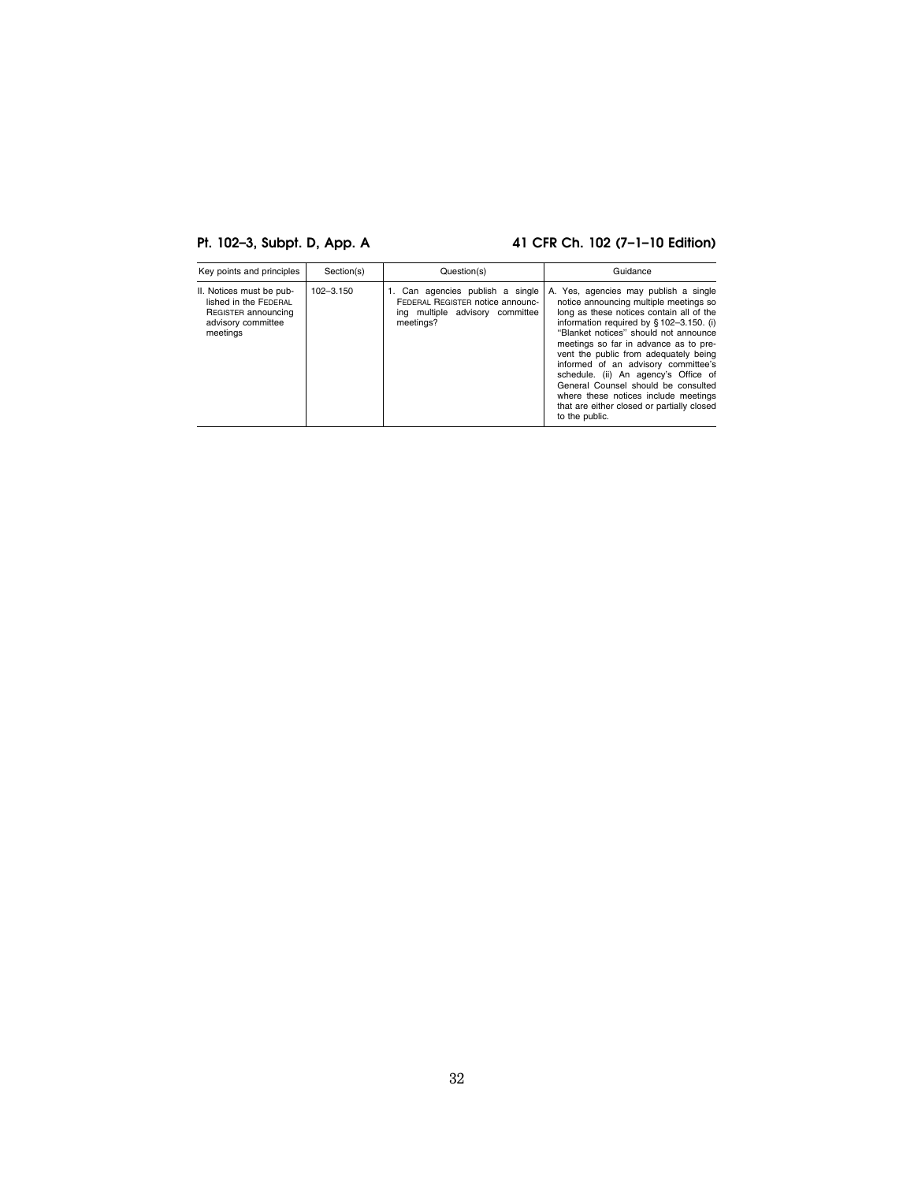# **Pt. 102–3, Subpt. D, App. A 41 CFR Ch. 102 (7–1–10 Edition)**

| Key points and principles                                                                                  | Section(s)    | Question(s)                                                                                                          | Guidance                                                                                                                                                                                                                                                                                                                                                                                                                                                                                                                         |
|------------------------------------------------------------------------------------------------------------|---------------|----------------------------------------------------------------------------------------------------------------------|----------------------------------------------------------------------------------------------------------------------------------------------------------------------------------------------------------------------------------------------------------------------------------------------------------------------------------------------------------------------------------------------------------------------------------------------------------------------------------------------------------------------------------|
| II. Notices must be pub-<br>lished in the FEDERAL<br>REGISTER announcing<br>advisory committee<br>meetings | $102 - 3.150$ | 1. Can agencies publish a single<br>FEDERAL REGISTER notice announc-<br>ing multiple advisory committee<br>meetings? | A. Yes, agencies may publish a single<br>notice announcing multiple meetings so<br>long as these notices contain all of the<br>information required by § 102-3.150. (i)<br>"Blanket notices" should not announce<br>meetings so far in advance as to pre-<br>vent the public from adequately being<br>informed of an advisory committee's<br>schedule. (ii) An agency's Office of<br>General Counsel should be consulted<br>where these notices include meetings<br>that are either closed or partially closed<br>to the public. |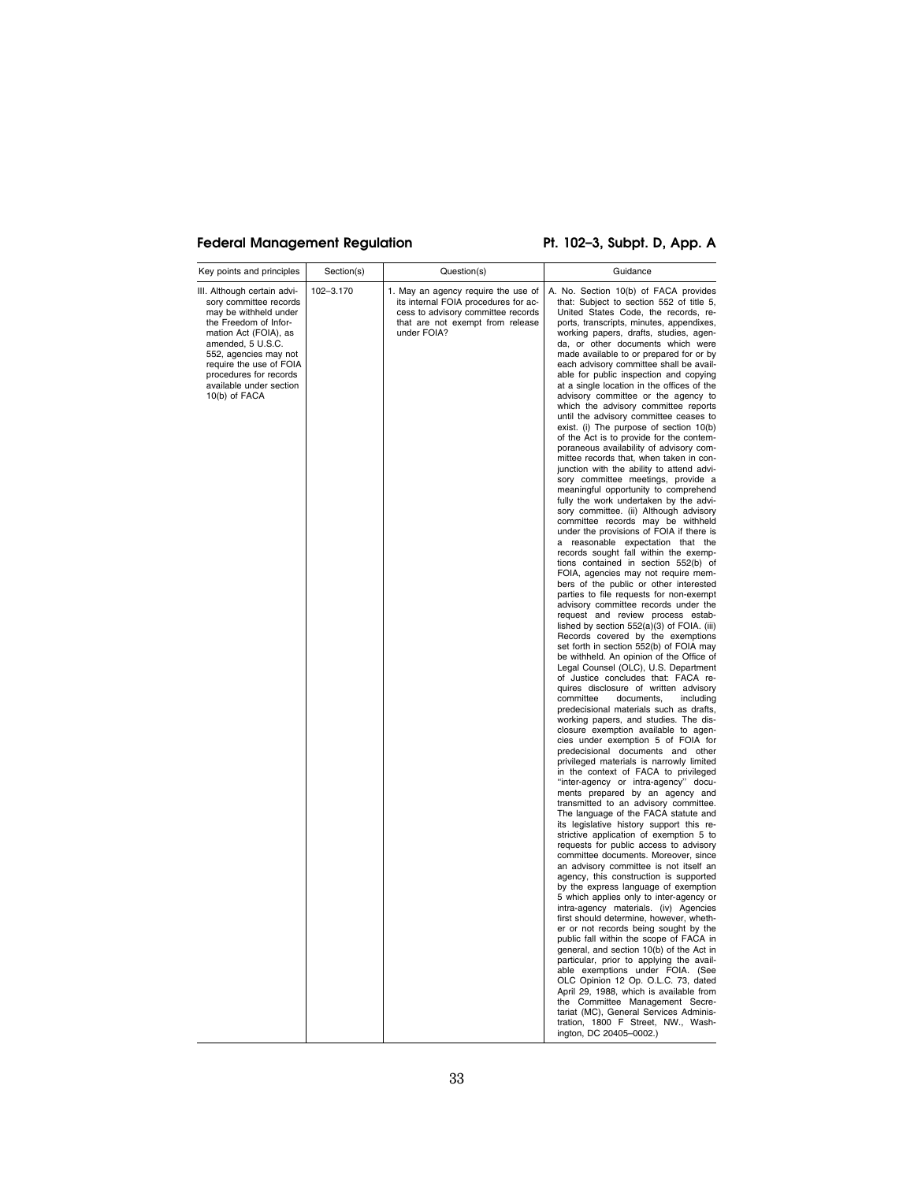## Federal Management Regulation Pt. 102-3, Subpt. D, App. A

| Key points and principles                                                                                                                                                                                                                                                       | Section(s) | Question(s)                                                                                                                                                          | Guidance                                                                                                                                                                                                                                                                                                                                                                                                                                                                                                                                                                                                                                                                                                                                                                                                                                                                                                                                                                                                                                                                                                                                                                                                                                                                                                                                                                                                                                                                                                                                                                                                                                                                                                                                                                                                                                                                                                                                                                                                                                                                                                                                                                                                                                                                                                                                                                                                                                                                                                                                                                                                                                                                                                                                                                                                                                                                                                                                          |
|---------------------------------------------------------------------------------------------------------------------------------------------------------------------------------------------------------------------------------------------------------------------------------|------------|----------------------------------------------------------------------------------------------------------------------------------------------------------------------|---------------------------------------------------------------------------------------------------------------------------------------------------------------------------------------------------------------------------------------------------------------------------------------------------------------------------------------------------------------------------------------------------------------------------------------------------------------------------------------------------------------------------------------------------------------------------------------------------------------------------------------------------------------------------------------------------------------------------------------------------------------------------------------------------------------------------------------------------------------------------------------------------------------------------------------------------------------------------------------------------------------------------------------------------------------------------------------------------------------------------------------------------------------------------------------------------------------------------------------------------------------------------------------------------------------------------------------------------------------------------------------------------------------------------------------------------------------------------------------------------------------------------------------------------------------------------------------------------------------------------------------------------------------------------------------------------------------------------------------------------------------------------------------------------------------------------------------------------------------------------------------------------------------------------------------------------------------------------------------------------------------------------------------------------------------------------------------------------------------------------------------------------------------------------------------------------------------------------------------------------------------------------------------------------------------------------------------------------------------------------------------------------------------------------------------------------------------------------------------------------------------------------------------------------------------------------------------------------------------------------------------------------------------------------------------------------------------------------------------------------------------------------------------------------------------------------------------------------------------------------------------------------------------------------------------------------|
| III. Although certain advi-<br>sory committee records<br>may be withheld under<br>the Freedom of Infor-<br>mation Act (FOIA), as<br>amended, 5 U.S.C.<br>552, agencies may not<br>require the use of FOIA<br>procedures for records<br>available under section<br>10(b) of FACA | 102-3.170  | 1. May an agency require the use of<br>its internal FOIA procedures for ac-<br>cess to advisory committee records<br>that are not exempt from release<br>under FOIA? | A. No. Section 10(b) of FACA provides<br>that: Subject to section 552 of title 5,<br>United States Code, the records, re-<br>ports, transcripts, minutes, appendixes,<br>working papers, drafts, studies, agen-<br>da, or other documents which were<br>made available to or prepared for or by<br>each advisory committee shall be avail-<br>able for public inspection and copying<br>at a single location in the offices of the<br>advisory committee or the agency to<br>which the advisory committee reports<br>until the advisory committee ceases to<br>exist. (i) The purpose of section 10(b)<br>of the Act is to provide for the contem-<br>poraneous availability of advisory com-<br>mittee records that, when taken in con-<br>junction with the ability to attend advi-<br>sory committee meetings, provide a<br>meaningful opportunity to comprehend<br>fully the work undertaken by the advi-<br>sory committee. (ii) Although advisory<br>committee records may be withheld<br>under the provisions of FOIA if there is<br>a reasonable expectation that the<br>records sought fall within the exemp-<br>tions contained in section 552(b) of<br>FOIA, agencies may not require mem-<br>bers of the public or other interested<br>parties to file requests for non-exempt<br>advisory committee records under the<br>request and review process estab-<br>lished by section 552(a)(3) of FOIA. (iii)<br>Records covered by the exemptions<br>set forth in section 552(b) of FOIA may<br>be withheld. An opinion of the Office of<br>Legal Counsel (OLC), U.S. Department<br>of Justice concludes that: FACA re-<br>quires disclosure of written advisory<br>committee<br>documents,<br>including<br>predecisional materials such as drafts,<br>working papers, and studies. The dis-<br>closure exemption available to agen-<br>cies under exemption 5 of FOIA for<br>predecisional documents and other<br>privileged materials is narrowly limited<br>in the context of FACA to privileged<br>"inter-agency or intra-agency" docu-<br>ments prepared by an agency and<br>transmitted to an advisory committee.<br>The language of the FACA statute and<br>its legislative history support this re-<br>strictive application of exemption 5 to<br>requests for public access to advisory<br>committee documents. Moreover, since<br>an advisory committee is not itself an<br>agency, this construction is supported<br>by the express language of exemption<br>5 which applies only to inter-agency or<br>intra-agency materials. (iv) Agencies<br>first should determine, however, wheth-<br>er or not records being sought by the<br>public fall within the scope of FACA in<br>general, and section 10(b) of the Act in<br>particular, prior to applying the avail-<br>able exemptions under FOIA. (See<br>OLC Opinion 12 Op. O.L.C. 73, dated<br>April 29, 1988, which is available from<br>the Committee Management Secre- |
|                                                                                                                                                                                                                                                                                 |            |                                                                                                                                                                      | tration, 1800 F Street, NW., Wash-<br>ington, DC 20405-0002.)                                                                                                                                                                                                                                                                                                                                                                                                                                                                                                                                                                                                                                                                                                                                                                                                                                                                                                                                                                                                                                                                                                                                                                                                                                                                                                                                                                                                                                                                                                                                                                                                                                                                                                                                                                                                                                                                                                                                                                                                                                                                                                                                                                                                                                                                                                                                                                                                                                                                                                                                                                                                                                                                                                                                                                                                                                                                                     |